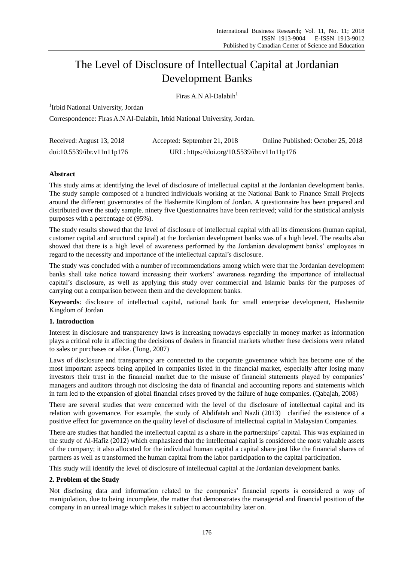# The Level of Disclosure of Intellectual Capital at Jordanian Development Banks

Firas A.N. Al-Dalabih $<sup>1</sup>$ </sup>

<sup>1</sup>Irbid National University, Jordan

Correspondence: Firas A.N Al-Dalabih, Irbid National University, Jordan.

| Received: August 13, 2018  | Accepted: September 21, 2018                | Online Published: October 25, 2018 |
|----------------------------|---------------------------------------------|------------------------------------|
| doi:10.5539/ibr.v11n11p176 | URL: https://doi.org/10.5539/ibr.v11n11p176 |                                    |

# **Abstract**

This study aims at identifying the level of disclosure of intellectual capital at the Jordanian development banks. The study sample composed of a hundred individuals working at the National Bank to Finance Small Projects around the different governorates of the Hashemite Kingdom of Jordan. A questionnaire has been prepared and distributed over the study sample. ninety five Questionnaires have been retrieved; valid for the statistical analysis purposes with a percentage of (95%).

The study results showed that the level of disclosure of intellectual capital with all its dimensions (human capital, customer capital and structural capital) at the Jordanian development banks was of a high level. The results also showed that there is a high level of awareness performed by the Jordanian development banks' employees in regard to the necessity and importance of the intellectual capital's disclosure.

The study was concluded with a number of recommendations among which were that the Jordanian development banks shall take notice toward increasing their workers' awareness regarding the importance of intellectual capital's disclosure, as well as applying this study over commercial and Islamic banks for the purposes of carrying out a comparison between them and the development banks.

**Keywords**: disclosure of intellectual capital, national bank for small enterprise development, Hashemite Kingdom of Jordan

# **1. Introduction**

Interest in disclosure and transparency laws is increasing nowadays especially in money market as information plays a critical role in affecting the decisions of dealers in financial markets whether these decisions were related to sales or purchases or alike. (Tong, 2007)

Laws of disclosure and transparency are connected to the corporate governance which has become one of the most important aspects being applied in companies listed in the financial market, especially after losing many investors their trust in the financial market due to the misuse of financial statements played by companies' managers and auditors through not disclosing the data of financial and accounting reports and statements which in turn led to the expansion of global financial crises proved by the failure of huge companies. (Qabajah, 2008)

There are several studies that were concerned with the level of the disclosure of intellectual capital and its relation with governance. For example, the study of Abdifatah and Nazli (2013) clarified the existence of a positive effect for governance on the quality level of disclosure of intellectual capital in Malaysian Companies.

There are studies that handled the intellectual capital as a share in the partnerships' capital. This was explained in the study of Al-Hafiz (2012) which emphasized that the intellectual capital is considered the most valuable assets of the company; it also allocated for the individual human capital a capital share just like the financial shares of partners as well as transformed the human capital from the labor participation to the capital participation.

This study will identify the level of disclosure of intellectual capital at the Jordanian development banks.

# **2. Problem of the Study**

Not disclosing data and information related to the companies' financial reports is considered a way of manipulation, due to being incomplete, the matter that demonstrates the managerial and financial position of the company in an unreal image which makes it subject to accountability later on.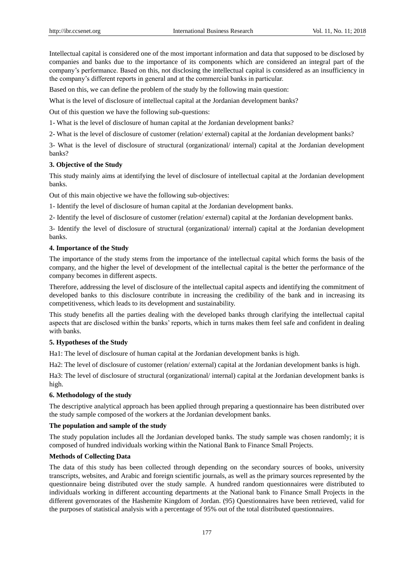Intellectual capital is considered one of the most important information and data that supposed to be disclosed by companies and banks due to the importance of its components which are considered an integral part of the company's performance. Based on this, not disclosing the intellectual capital is considered as an insufficiency in the company's different reports in general and at the commercial banks in particular.

Based on this, we can define the problem of the study by the following main question:

What is the level of disclosure of intellectual capital at the Jordanian development banks?

Out of this question we have the following sub-questions:

1- What is the level of disclosure of human capital at the Jordanian development banks?

2- What is the level of disclosure of customer (relation/ external) capital at the Jordanian development banks?

3- What is the level of disclosure of structural (organizational/ internal) capital at the Jordanian development banks?

#### **3. Objective of the Study**

This study mainly aims at identifying the level of disclosure of intellectual capital at the Jordanian development banks.

Out of this main objective we have the following sub-objectives:

1- Identify the level of disclosure of human capital at the Jordanian development banks.

2- Identify the level of disclosure of customer (relation/ external) capital at the Jordanian development banks.

3- Identify the level of disclosure of structural (organizational/ internal) capital at the Jordanian development banks.

#### **4. Importance of the Study**

The importance of the study stems from the importance of the intellectual capital which forms the basis of the company, and the higher the level of development of the intellectual capital is the better the performance of the company becomes in different aspects.

Therefore, addressing the level of disclosure of the intellectual capital aspects and identifying the commitment of developed banks to this disclosure contribute in increasing the credibility of the bank and in increasing its competitiveness, which leads to its development and sustainability.

This study benefits all the parties dealing with the developed banks through clarifying the intellectual capital aspects that are disclosed within the banks' reports, which in turns makes them feel safe and confident in dealing with banks.

## **5. Hypotheses of the Study**

Ha1: The level of disclosure of human capital at the Jordanian development banks is high.

Ha2: The level of disclosure of customer (relation/ external) capital at the Jordanian development banks is high.

Ha3: The level of disclosure of structural (organizational/ internal) capital at the Jordanian development banks is high.

## **6. Methodology of the study**

The descriptive analytical approach has been applied through preparing a questionnaire has been distributed over the study sample composed of the workers at the Jordanian development banks.

#### **The population and sample of the study**

The study population includes all the Jordanian developed banks. The study sample was chosen randomly; it is composed of hundred individuals working within the National Bank to Finance Small Projects.

#### **Methods of Collecting Data**

The data of this study has been collected through depending on the secondary sources of books, university transcripts, websites, and Arabic and foreign scientific journals, as well as the primary sources represented by the questionnaire being distributed over the study sample. A hundred random questionnaires were distributed to individuals working in different accounting departments at the National bank to Finance Small Projects in the different governorates of the Hashemite Kingdom of Jordan. (95) Questionnaires have been retrieved, valid for the purposes of statistical analysis with a percentage of 95% out of the total distributed questionnaires.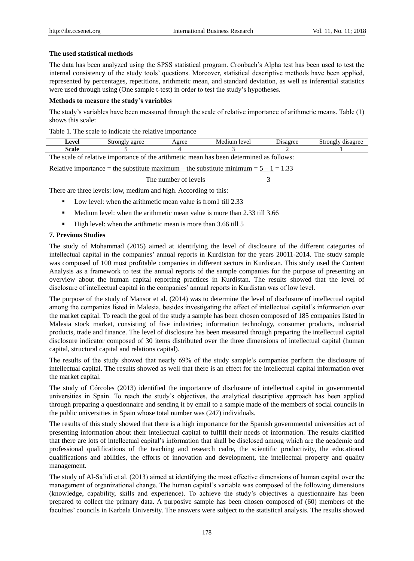#### **The used statistical methods**

The data has been analyzed using the SPSS statistical program. Cronbach's Alpha test has been used to test the internal consistency of the study tools' questions. Moreover, statistical descriptive methods have been applied, represented by percentages, repetitions, arithmetic mean, and standard deviation, as well as inferential statistics were used through using (One sample t-test) in order to test the study's hypotheses.

#### **Methods to measure the study's variables**

The study's variables have been measured through the scale of relative importance of arithmetic means. Table (1) shows this scale:

Table 1. The scale to indicate the relative importance

| $\alpha$<br>. V UL<br>. . | .<br><b>DUV</b><br>azivc | $-$ | $\Delta V$ | ____ | <b><i>Thermore</i></b><br><b>DUOIR</b><br>uwa |
|---------------------------|--------------------------|-----|------------|------|-----------------------------------------------|
| .scale                    |                          |     |            |      |                                               |
| T1.                       |                          |     |            |      |                                               |

The scale of relative importance of the arithmetic mean has been determined as follows:

Relative importance = the substitute maximum – the substitute minimum =  $5 - 1 = 1.33$ 

The number of levels 3

There are three levels: low, medium and high. According to this:

- Low level: when the arithmetic mean value is from1 till 2.33
- Medium level: when the arithmetic mean value is more than 2.33 till 3.66
- $\blacksquare$  High level: when the arithmetic mean is more than 3.66 till 5

## **7. Previous Studies**

The study of Mohammad (2015) aimed at identifying the level of disclosure of the different categories of intellectual capital in the companies' annual reports in Kurdistan for the years 20011-2014. The study sample was composed of 100 most profitable companies in different sectors in Kurdistan. This study used the Content Analysis as a framework to test the annual reports of the sample companies for the purpose of presenting an overview about the human capital reporting practices in Kurdistan. The results showed that the level of disclosure of intellectual capital in the companies' annual reports in Kurdistan was of low level.

The purpose of the study of Mansor et al. (2014) was to determine the level of disclosure of intellectual capital among the companies listed in Malesia, besides investigating the effect of intellectual capital's information over the market capital. To reach the goal of the study a sample has been chosen composed of 185 companies listed in Malesia stock market, consisting of five industries; information technology, consumer products, industrial products, trade and finance. The level of disclosure has been measured through preparing the intellectual capital disclosure indicator composed of 30 items distributed over the three dimensions of intellectual capital (human capital, structural capital and relations capital).

The results of the study showed that nearly 69% of the study sample's companies perform the disclosure of intellectual capital. The results showed as well that there is an effect for the intellectual capital information over the market capital.

The study of Córcoles (2013) identified the importance of disclosure of intellectual capital in governmental universities in Spain. To reach the study's objectives, the analytical descriptive approach has been applied through preparing a questionnaire and sending it by email to a sample made of the members of social councils in the public universities in Spain whose total number was (247) individuals.

The results of this study showed that there is a high importance for the Spanish governmental universities act of presenting information about their intellectual capital to fulfill their needs of information. The results clarified that there are lots of intellectual capital's information that shall be disclosed among which are the academic and professional qualifications of the teaching and research cadre, the scientific productivity, the educational qualifications and abilities, the efforts of innovation and development, the intellectual property and quality management.

The study of Al-Sa'idi et al. (2013) aimed at identifying the most effective dimensions of human capital over the management of organizational change. The human capital's variable was composed of the following dimensions (knowledge, capability, skills and experience). To achieve the study's objectives a questionnaire has been prepared to collect the primary data. A purposive sample has been chosen composed of (60) members of the faculties' councils in Karbala University. The answers were subject to the statistical analysis. The results showed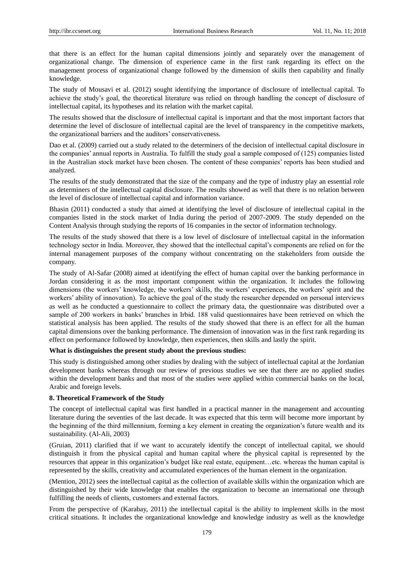that there is an effect for the human capital dimensions jointly and separately over the management of organizational change. The dimension of experience came in the first rank regarding its effect on the management process of organizational change followed by the dimension of skills then capability and finally knowledge.

The study of Mousavi et al. (2012) sought identifying the importance of disclosure of intellectual capital. To achieve the study's goal, the theoretical literature was relied on through handling the concept of disclosure of intellectual capital, its hypotheses and its relation with the market capital.

The results showed that the disclosure of intellectual capital is important and that the most important factors that determine the level of disclosure of intellectual capital are the level of transparency in the competitive markets, the organizational barriers and the auditors' conservativeness.

Dao et al. (2009) carried out a study related to the determiners of the decision of intellectual capital disclosure in the companies' annual reports in Australia. To fulfill the study goal a sample composed of (125) companies listed in the Australian stock market have been chosen. The content of these companies' reports has been studied and analyzed.

The results of the study demonstrated that the size of the company and the type of industry play an essential role as determiners of the intellectual capital disclosure. The results showed as well that there is no relation between the level of disclosure of intellectual capital and information variance.

Bhasin (2011) conducted a study that aimed at identifying the level of disclosure of intellectual capital in the companies listed in the stock market of India during the period of 2007-2009. The study depended on the Content Analysis through studying the reports of 16 companies in the sector of information technology.

The results of the study showed that there is a low level of disclosure of intellectual capital in the information technology sector in India. Moreover, they showed that the intellectual capital's components are relied on for the internal management purposes of the company without concentrating on the stakeholders from outside the company.

The study of Al-Safar (2008) aimed at identifying the effect of human capital over the banking performance in Jordan considering it as the most important component within the organization. It includes the following dimensions (the workers' knowledge, the workers' skills, the workers' experiences, the workers' spirit and the workers' ability of innovation). To achieve the goal of the study the researcher depended on personal interviews as well as he conducted a questionnaire to collect the primary data, the questionnaire was distributed over a sample of 200 workers in banks' branches in Irbid. 188 valid questionnaires have been retrieved on which the statistical analysis has been applied. The results of the study showed that there is an effect for all the human capital dimensions over the banking performance. The dimension of innovation was in the first rank regarding its effect on performance followed by knowledge, then experiences, then skills and lastly the spirit.

## **What is distinguishes the present study about the previous studies:**

This study is distinguished among other studies by dealing with the subject of intellectual capital at the Jordanian development banks whereas through our review of previous studies we see that there are no applied studies within the development banks and that most of the studies were applied within commercial banks on the local, Arabic and foreign levels.

#### **8. Theoretical Framework of the Study**

The concept of intellectual capital was first handled in a practical manner in the management and accounting literature during the seventies of the last decade. It was expected that this term will become more important by the beginning of the third millennium, forming a key element in creating the organization's future wealth and its sustainability. (Al-Ali, 2003)

(Gruian, 2011) clarified that if we want to accurately identify the concept of intellectual capital, we should distinguish it from the physical capital and human capital where the physical capital is represented by the resources that appear in this organization's budget like real estate, equipment…etc. whereas the human capital is represented by the skills, creativity and accumulated experiences of the human element in the organization.

(Mention, 2012) sees the intellectual capital as the collection of available skills within the organization which are distinguished by their wide knowledge that enables the organization to become an international one through fulfilling the needs of clients, customers and external factors.

From the perspective of (Karabay, 2011) the intellectual capital is the ability to implement skills in the most critical situations. It includes the organizational knowledge and knowledge industry as well as the knowledge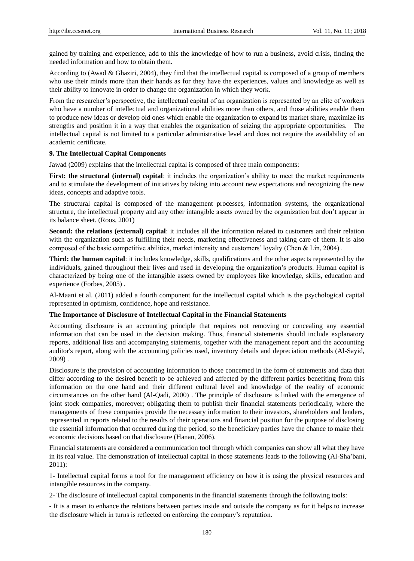gained by training and experience, add to this the knowledge of how to run a business, avoid crisis, finding the needed information and how to obtain them.

According to (Awad & Ghaziri, 2004), they find that the intellectual capital is composed of a group of members who use their minds more than their hands as for they have the experiences, values and knowledge as well as their ability to innovate in order to change the organization in which they work.

From the researcher's perspective, the intellectual capital of an organization is represented by an elite of workers who have a number of intellectual and organizational abilities more than others, and those abilities enable them to produce new ideas or develop old ones which enable the organization to expand its market share, maximize its strengths and position it in a way that enables the organization of seizing the appropriate opportunities. The intellectual capital is not limited to a particular administrative level and does not require the availability of an academic certificate.

#### **9. The Intellectual Capital Components**

Jawad (2009) explains that the intellectual capital is composed of three main components:

**First: the structural (internal) capital:** it includes the organization's ability to meet the market requirements and to stimulate the development of initiatives by taking into account new expectations and recognizing the new ideas, concepts and adaptive tools.

The structural capital is composed of the management processes, information systems, the organizational structure, the intellectual property and any other intangible assets owned by the organization but don't appear in its balance sheet. (Roos, 2001)

**Second: the relations (external) capital**: it includes all the information related to customers and their relation with the organization such as fulfilling their needs, marketing effectiveness and taking care of them. It is also composed of the basic competitive abilities, market intensity and customers' loyalty (Chen & Lin, 2004) .

**Third: the human capital**: it includes knowledge, skills, qualifications and the other aspects represented by the individuals, gained throughout their lives and used in developing the organization's products. Human capital is characterized by being one of the intangible assets owned by employees like knowledge, skills, education and experience (Forbes, 2005) .

Al-Maani et al. (2011) added a fourth component for the intellectual capital which is the psychological capital represented in optimism, confidence, hope and resistance.

#### **The Importance of Disclosure of Intellectual Capital in the Financial Statements**

Accounting disclosure is an accounting principle that requires not removing or concealing any essential information that can be used in the decision making. Thus, financial statements should include explanatory reports, additional lists and accompanying statements, together with the management report and the accounting auditor's report, along with the accounting policies used, inventory details and depreciation methods (Al-Sayid, 2009) .

Disclosure is the provision of accounting information to those concerned in the form of statements and data that differ according to the desired benefit to be achieved and affected by the different parties benefiting from this information on the one hand and their different cultural level and knowledge of the reality of economic circumstances on the other hand (Al-Qadi, 2000) . The principle of disclosure is linked with the emergence of joint stock companies, moreover; obligating them to publish their financial statements periodically, where the managements of these companies provide the necessary information to their investors, shareholders and lenders, represented in reports related to the results of their operations and financial position for the purpose of disclosing the essential information that occurred during the period, so the beneficiary parties have the chance to make their economic decisions based on that disclosure (Hanan, 2006).

Financial statements are considered a communication tool through which companies can show all what they have in its real value. The demonstration of intellectual capital in those statements leads to the following (Al-Sha'bani, 2011):

1- Intellectual capital forms a tool for the management efficiency on how it is using the physical resources and intangible resources in the company.

2- The disclosure of intellectual capital components in the financial statements through the following tools:

- It is a mean to enhance the relations between parties inside and outside the company as for it helps to increase the disclosure which in turns is reflected on enforcing the company's reputation.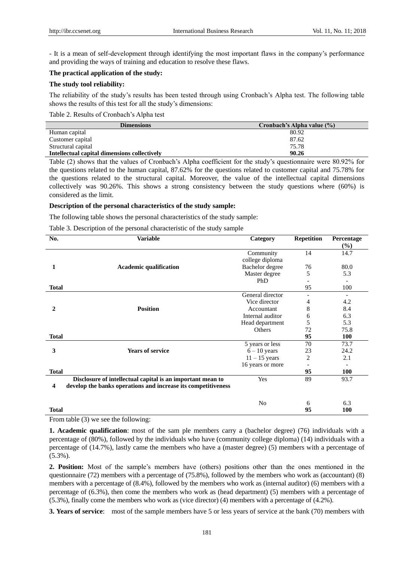- It is a mean of self-development through identifying the most important flaws in the company's performance and providing the ways of training and education to resolve these flaws.

## **The practical application of the study:**

#### **The study tool reliability:**

The reliability of the study's results has been tested through using Cronbach's Alpha test. The following table shows the results of this test for all the study's dimensions:

Table 2. Results of Cronbach's Alpha test

| Cronbach's Alpha value (%) |
|----------------------------|
| 80.92                      |
| 87.62                      |
| 75.78                      |
| 90.26                      |
|                            |

Table (2) shows that the values of Cronbach's Alpha coefficient for the study's questionnaire were 80.92% for the questions related to the human capital, 87.62% for the questions related to customer capital and 75.78% for the questions related to the structural capital. Moreover, the value of the intellectual capital dimensions collectively was 90.26%. This shows a strong consistency between the study questions where (60%) is considered as the limit.

## **Description of the personal characteristics of the study sample:**

The following table shows the personal characteristics of the study sample:

Table 3. Description of the personal characteristic of the study sample

| No.          | <b>Variable</b>                                               | Category         | <b>Repetition</b> | Percentage |
|--------------|---------------------------------------------------------------|------------------|-------------------|------------|
|              |                                                               |                  |                   | $(\%)$     |
|              |                                                               | Community        | 14                | 14.7       |
|              |                                                               | college diploma  |                   |            |
| 1            | <b>Academic qualification</b>                                 | Bachelor degree  | 76                | 80.0       |
|              |                                                               | Master degree    | 5                 | 5.3        |
|              |                                                               | PhD              |                   |            |
| <b>Total</b> |                                                               |                  | 95                | 100        |
|              |                                                               | General director |                   |            |
|              |                                                               | Vice director    | 4                 | 4.2        |
| $\mathbf{2}$ | <b>Position</b>                                               | Accountant       | 8                 | 8.4        |
|              |                                                               | Internal auditor | 6                 | 6.3        |
|              |                                                               | Head department  | 5                 | 5.3        |
|              |                                                               | Others           | 72                | 75.8       |
| <b>Total</b> |                                                               |                  | 95                | 100        |
|              |                                                               | 5 years or less  | 70                | 73.7       |
| 3            | <b>Years of service</b>                                       | $6 - 10$ years   | 23                | 24.2       |
|              |                                                               | $11 - 15$ years  | 2                 | 2.1        |
|              |                                                               | 16 years or more |                   |            |
| <b>Total</b> |                                                               |                  | 95                | 100        |
|              | Disclosure of intellectual capital is an important mean to    | Yes              | 89                | 93.7       |
| 4            | develop the banks operations and increase its competitiveness |                  |                   |            |
|              |                                                               |                  |                   |            |
|              |                                                               | No               | 6                 | 6.3        |
| <b>Total</b> |                                                               |                  | 95                | 100        |

#### From table (3) we see the following:

**1. Academic qualification**: most of the sam ple members carry a (bachelor degree) (76) individuals with a percentage of (80%), followed by the individuals who have (community college diploma) (14) individuals with a percentage of (14.7%), lastly came the members who have a (master degree) (5) members with a percentage of (5.3%).

**2. Position:** Most of the sample's members have (others) positions other than the ones mentioned in the questionnaire (72) members with a percentage of (75.8%), followed by the members who work as (accountant) (8) members with a percentage of (8.4%), followed by the members who work as (internal auditor) (6) members with a percentage of (6.3%), then come the members who work as (head department) (5) members with a percentage of (5.3%), finally come the members who work as (vice director) (4) members with a percentage of (4.2%).

**3. Years of service**: most of the sample members have 5 or less years of service at the bank (70) members with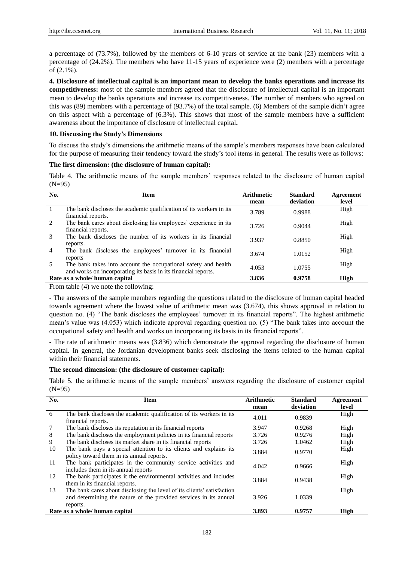a percentage of (73.7%), followed by the members of 6-10 years of service at the bank (23) members with a percentage of (24.2%). The members who have 11-15 years of experience were (2) members with a percentage of (2.1%).

**4. Disclosure of intellectual capital is an important mean to develop the banks operations and increase its competitiveness:** most of the sample members agreed that the disclosure of intellectual capital is an important mean to develop the banks operations and increase its competitiveness. The number of members who agreed on this was (89) members with a percentage of (93.7%) of the total sample. (6) Members of the sample didn't agree on this aspect with a percentage of (6.3%). This shows that most of the sample members have a sufficient awareness about the importance of disclosure of intellectual capital**.**

#### **10. Discussing the Study's Dimensions**

To discuss the study's dimensions the arithmetic means of the sample's members responses have been calculated for the purpose of measuring their tendency toward the study's tool items in general. The results were as follows:

## **The first dimension: (the disclosure of human capital):**

Table 4. The arithmetic means of the sample members' responses related to the disclosure of human capital (N=95)

| No.            | <b>Item</b>                                                                                                                      | <b>Arithmetic</b><br>mean | <b>Standard</b><br>deviation | Agreement<br>level |
|----------------|----------------------------------------------------------------------------------------------------------------------------------|---------------------------|------------------------------|--------------------|
| -1             | The bank discloses the academic qualification of its workers in its<br>financial reports.                                        | 3.789                     | 0.9988                       | High               |
| 2              | The bank cares about disclosing his employees' experience in its<br>financial reports.                                           | 3.726                     | 0.9044                       | High               |
| 3              | The bank discloses the number of its workers in its financial<br>reports.                                                        | 3.937                     | 0.8850                       | High               |
| $\overline{4}$ | The bank discloses the employees' turnover in its financial<br>reports                                                           | 3.674                     | 1.0152                       | High               |
| 5              | The bank takes into account the occupational safety and health<br>and works on incorporating its basis in its financial reports. | 4.053                     | 1.0755                       | High               |
|                | Rate as a whole/ human capital                                                                                                   | 3.836                     | 0.9758                       | High               |

From table (4) we note the following:

- The answers of the sample members regarding the questions related to the disclosure of human capital headed towards agreement where the lowest value of arithmetic mean was (3.674), this shows approval in relation to question no. (4) "The bank discloses the employees' turnover in its financial reports". The highest arithmetic mean's value was (4.053) which indicate approval regarding question no. (5) "The bank takes into account the occupational safety and health and works on incorporating its basis in its financial reports".

- The rate of arithmetic means was (3.836) which demonstrate the approval regarding the disclosure of human capital. In general, the Jordanian development banks seek disclosing the items related to the human capital within their financial statements.

#### **The second dimension: (the disclosure of customer capital):**

Table 5. the arithmetic means of the sample members' answers regarding the disclosure of customer capital  $(N=95)$ 

| No.             | <b>Item</b>                                                                                                    | <b>Arithmetic</b> | <b>Standard</b> | Agreement |
|-----------------|----------------------------------------------------------------------------------------------------------------|-------------------|-----------------|-----------|
|                 |                                                                                                                | mean              | deviation       | level     |
| 6               | The bank discloses the academic qualification of its workers in its<br>financial reports.                      | 4.011             | 0.9839          | High      |
| $7\phantom{.0}$ | The bank discloses its reputation in its financial reports                                                     | 3.947             | 0.9268          | High      |
| 8               | The bank discloses the employment policies in its financial reports                                            | 3.726             | 0.9276          | High      |
| 9               | The bank discloses its market share in its financial reports                                                   | 3.726             | 1.0462          | High      |
| 10              | The bank pays a special attention to its clients and explains its<br>policy toward them in its annual reports. | 3.884             | 0.9770          | High      |
| 11              | The bank participates in the community service activities and<br>includes them in its annual reports           | 4.042             | 0.9666          | High      |
| 12              | The bank participates it the environmental activities and includes<br>them in its financial reports.           | 3.884             | 0.9438          | High      |
| 13              | The bank cares about disclosing the level of its clients' satisfaction                                         |                   |                 | High      |
|                 | and determining the nature of the provided services in its annual                                              | 3.926             | 1.0339          |           |
|                 | reports.                                                                                                       |                   |                 |           |
|                 | Rate as a whole/ human capital                                                                                 | 3.893             | 0.9757          | High      |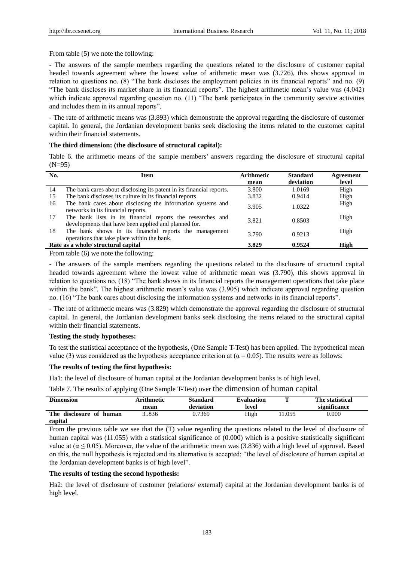From table (5) we note the following:

- The answers of the sample members regarding the questions related to the disclosure of customer capital headed towards agreement where the lowest value of arithmetic mean was (3.726), this shows approval in relation to questions no. (8) "The bank discloses the employment policies in its financial reports" and no. (9) "The bank discloses its market share in its financial reports". The highest arithmetic mean's value was (4.042) which indicate approval regarding question no. (11) "The bank participates in the community service activities and includes them in its annual reports".

- The rate of arithmetic means was (3.893) which demonstrate the approval regarding the disclosure of customer capital. In general, the Jordanian development banks seek disclosing the items related to the customer capital within their financial statements.

#### **The third dimension: (the disclosure of structural capital):**

Table 6. the arithmetic means of the sample members' answers regarding the disclosure of structural capital (N=95)

| No. | <b>Item</b>                                                                                                        | <b>Arithmetic</b><br>mean | <b>Standard</b><br>deviation | Agreement<br>level |
|-----|--------------------------------------------------------------------------------------------------------------------|---------------------------|------------------------------|--------------------|
| 14  | The bank cares about disclosing its patent in its financial reports.                                               | 3.800                     | 1.0169                       | High               |
| 15  | The bank discloses its culture in its financial reports                                                            | 3.832                     | 0.9414                       | High               |
| 16  | The bank cares about disclosing the information systems and<br>networks in its financial reports.                  | 3.905                     | 1.0322                       | High               |
| 17  | The bank lists in its financial reports the researches and<br>developments that have been applied and planned for. | 3.821                     | 0.8503                       | High               |
| 18  | The bank shows in its financial reports the management<br>operations that take place within the bank.              | 3.790                     | 0.9213                       | High               |
|     | Rate as a whole/ structural capital                                                                                | 3.829                     | 0.9524                       | <b>High</b>        |

From table (6) we note the following:

- The answers of the sample members regarding the questions related to the disclosure of structural capital headed towards agreement where the lowest value of arithmetic mean was (3.790), this shows approval in relation to questions no. (18) "The bank shows in its financial reports the management operations that take place within the bank". The highest arithmetic mean's value was (3.905) which indicate approval regarding question no. (16) "The bank cares about disclosing the information systems and networks in its financial reports".

- The rate of arithmetic means was (3.829) which demonstrate the approval regarding the disclosure of structural capital. In general, the Jordanian development banks seek disclosing the items related to the structural capital within their financial statements.

#### **Testing the study hypotheses:**

To test the statistical acceptance of the hypothesis, (One Sample T-Test) has been applied. The hypothetical mean value (3) was considered as the hypothesis acceptance criterion at ( $\alpha$  = 0.05). The results were as follows:

## **The results of testing the first hypothesis:**

Ha1: the level of disclosure of human capital at the Jordanian development banks is of high level.

Table 7. The results of applying (One Sample T-Test) over the dimension of human capital

| <b>Dimension</b>        | Arithmetic | <b>Standard</b> | <b>Evaluation</b> |       | The statistical |
|-------------------------|------------|-----------------|-------------------|-------|-----------------|
|                         | mean       | deviation       | level             |       | significance    |
| The disclosure of human | 836        | 0.7369          | High              | 1.055 | 0.000           |
| capital                 |            |                 |                   |       |                 |

From the previous table we see that the (T) value regarding the questions related to the level of disclosure of human capital was (11.055) with a statistical significance of (0.000) which is a positive statistically significant value at ( $\alpha \le 0.05$ ). Moreover, the value of the arithmetic mean was (3.836) with a high level of approval. Based on this, the null hypothesis is rejected and its alternative is accepted: "the level of disclosure of human capital at the Jordanian development banks is of high level".

#### **The results of testing the second hypothesis:**

Ha2: the level of disclosure of customer (relations/ external) capital at the Jordanian development banks is of high level.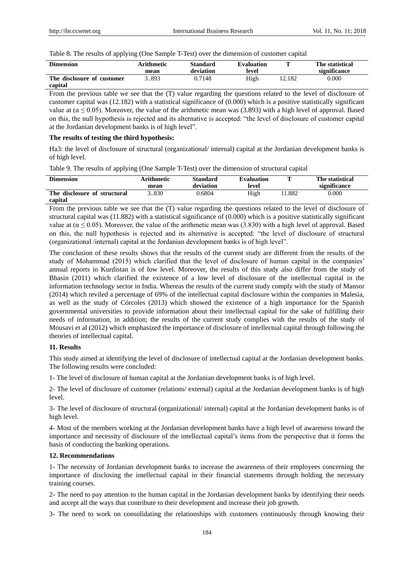Table 8. The results of applying (One Sample T-Test) over the dimension of customer capital

| <b>Dimension</b>           | Arithmetic<br>mean | <b>Standard</b><br>deviation | <b>Evaluation</b><br>level | m      | The statistical<br>significance |
|----------------------------|--------------------|------------------------------|----------------------------|--------|---------------------------------|
| The disclosure of customer | 1.893              | 0.7148                       | High                       | 12.182 | 0.000                           |
| capital                    |                    |                              |                            |        |                                 |

From the previous table we see that the (T) value regarding the questions related to the level of disclosure of customer capital was (12.182) with a statistical significance of (0.000) which is a positive statistically significant value at ( $\alpha \le 0.05$ ). Moreover, the value of the arithmetic mean was (3.893) with a high level of approval. Based on this, the null hypothesis is rejected and its alternative is accepted: "the level of disclosure of customer capital at the Jordanian development banks is of high level".

#### **The results of testing the third hypothesis:**

Ha3: the level of disclosure of structural (organizational/ internal) capital at the Jordanian development banks is of high level.

|  |  |  |  |  | Table 9. The results of applying (One Sample T-Test) over the dimension of structural capital |  |  |
|--|--|--|--|--|-----------------------------------------------------------------------------------------------|--|--|
|--|--|--|--|--|-----------------------------------------------------------------------------------------------|--|--|

| <b>Dimension</b>                        | Arithmetic<br>mean | <b>Standard</b><br>deviation | <b>Evaluation</b><br>level | m      | The statistical<br>significance |
|-----------------------------------------|--------------------|------------------------------|----------------------------|--------|---------------------------------|
| The disclosure of structural<br>capital | 3.830              | 0.6804                       | High                       | 11.882 | $0.000\,$                       |

From the previous table we see that the (T) value regarding the questions related to the level of disclosure of structural capital was (11.882) with a statistical significance of (0.000) which is a positive statistically significant value at ( $\alpha \le 0.05$ ). Moreover, the value of the arithmetic mean was (3.830) with a high level of approval. Based on this, the null hypothesis is rejected and its alternative is accepted: "the level of disclosure of structural (organizational /internal) capital at the Jordanian development banks is of high level".

The conclusion of these results shows that the results of the current study are different from the results of the study of Mohammad (2015) which clarified that the level of disclosure of human capital in the companies' annual reports in Kurdistan is of low level. Moreover, the results of this study also differ from the study of Bhasin (2011) which clarified the existence of a low level of disclosure of the intellectual capital in the information technology sector in India. Whereas the results of the current study comply with the study of Mansor (2014) which reviled a percentage of 69% of the intellectual capital disclosure within the companies in Malesia, as well as the study of Córcoles (2013) which showed the existence of a high importance for the Spanish governmental universities to provide information about their intellectual capital for the sake of fulfilling their needs of information, in addition; the results of the current study complies with the results of the study of Mousavi et al (2012) which emphasized the importance of disclosure of intellectual capital through following the theories of intellectual capital.

#### **11. Results**

This study aimed at identifying the level of disclosure of intellectual capital at the Jordanian development banks. The following results were concluded:

1- The level of disclosure of human capital at the Jordanian development banks is of high level.

2- The level of disclosure of customer (relations/ external) capital at the Jordanian development banks is of high level.

3- The level of disclosure of structural (organizational/ internal) capital at the Jordanian development banks is of high level.

4- Most of the members working at the Jordanian development banks have a high level of awareness toward the importance and necessity of disclosure of the intellectual capital's items from the perspective that it forms the basis of conducting the banking operations.

#### **12. Recommendations**

1- The necessity of Jordanian development banks to increase the awareness of their employees concerning the importance of disclosing the intellectual capital in their financial statements through holding the necessary training courses.

2- The need to pay attention to the human capital in the Jordanian development banks by identifying their needs and accept all the ways that contribute to their development and increase their job growth.

3- The need to work on consolidating the relationships with customers continuously through knowing their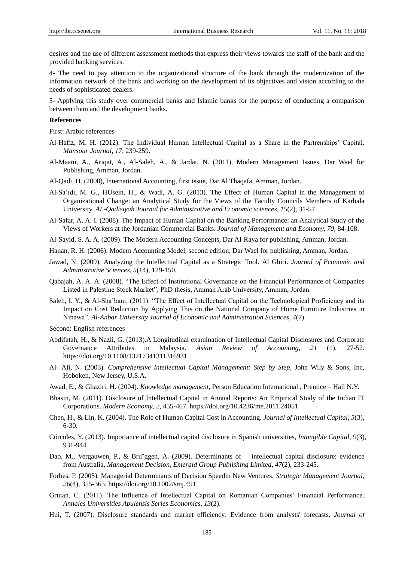desires and the use of different assessment methods that express their views towards the staff of the bank and the provided banking services.

4- The need to pay attention to the organizational structure of the bank through the modernization of the information network of the bank and working on the development of its objectives and vision according to the needs of sophisticated dealers.

5- Applying this study over commercial banks and Islamic banks for the purpose of conducting a comparison between them and the development banks.

#### **References**

First: Arabic references

- Al-Hafiz, M. H. (2012). The Individual Human Intellectual Capital as a Share in the Partrenships' Capital. *Mansour Journal, 17,* 239-259.
- Al-Maani, A., Ariqat, A., Al-Saleh, A., & Jardat, N. (2011), Modern Management Issues, Dar Wael for Publishing, Amman, Jordan.
- Al-Qadi, H. (2000), International Accounting, first issue, Dar Al Thaqafa, Amman, Jordan.
- Al-Sa'idi, M. G., HUsein, H., & Wadi, A. G. (2013). The Effect of Human Capital in the Management of Organizational Change: an Analytical Study for the Views of the Faculty Councils Members of Karbala University. *AL-Qadisiyah Journal for Administrative and Economic sciences, 15*(2), 31-57.
- Al-Safar, A. A. I. (2008). The Impact of Human Capital on the Banking Performance: an Analytical Study of the Views of Workers at the Jordanian Commercial Banks. *Journal of Management and Economy, 70,* 84-108.
- Al-Sayid, S. A. A. (2009). The Modern Accounting Concepts, Dar Al-Raya for publishing, Amman, Jordan.
- Hanan, R. H. (2006). Modern Accounting Model, second edition, Dar Wael for publishing, Amman, Jordan.
- Jawad, N. (2009). Analyzing the Intellectual Capital as a Strategic Tool. Al Ghiri. *Journal of Economic and Administrative Sciences, 5*(14), 129-150.
- Qabajah, A. A. A. (2008). "The Effect of Institutional Governance on the Financial Performance of Companies Listed in Palestine Stock Market", PhD thesis, Amman Arab University, Amman, Jordan.
- Saleh, I. Y., & Al-Sha'bani. (2011). "The Effect of Intellectual Capital on the Technological Proficiency and its Impact on Cost Reduction by Applying This on the National Company of Home Furniture Industries in Ninawa". *Al-Anbar University Journal of Economic and Administration Sciences, 4*(7).

Second: English references

- Abdifatah, H., & Nazli, G. (2013).A Longitudinal examination of Intellectual Capital Disclosures and Corporate Governance Attributes in Malaysia. *Asian Review of Accounting*, *21* (1), 27-52. https://doi.org/10.1108/13217341311316931
- Al- Ali, N. (2003). *Comprehensive Intellectual Capital Management: Step by Step*, John Wily & Sons, Inc, Hoboken, New Jersey, U.S.A.
- Awad, E., & Ghaziri, H. (2004). *Knowledge management*, Person Education International , Prentice Hall N.Y.
- Bhasin, M. (2011). Disclosure of Intellectual Capital in Annual Reports: An Empirical Study of the Indian IT Corporations. *Modern Economy*, *2,* 455-467. https://doi.org/10.4236/me.2011.24051
- Chen, H., & Lin, K. (2004). The Role of Human Capital Cost in Accounting. *Journal of Intellectual Capital*, *5*(3), 6-30.
- Córcoles, Y. (2013). Importance of intellectual capital disclosure in Spanish universities, *Intangible Capital*, *9*(3), 931-944.
- Dao, M., Vergauwen, P., & Bru ggen, A. (2009). Determinants of intellectual capital disclosure: evidence from Australia, *Management Decision, Emerald Group Publishing Limited*, *47*(2), 233-245.
- Forbes, P. (2005). Managerial Determinants of Decision Speedin New Ventures. *Strategic Management Journal*, *26*(4), 355-365. https://doi.org/10.1002/smj.451
- Gruian, C. (2011). The Influence of Intellectual Capital on Romanian Companies' Financial Performance. *Annales Universities Apulensis Series Economics*, *13*(2).
- Hui, T. (2007). [Disclosure standards and market efficiency: Evidence](http://www.sciencedirect.com/science/article/pii/S0022199607000220?_alid=1835020131&_rdoc=11&_fmt=high&_origin=search&_docanchor=&_ct=2989&_zone=rslt_list_item&md5=388aae3e54c5bdaf1def12542cdbdf28) from analysts' forecasts. *Journal of*